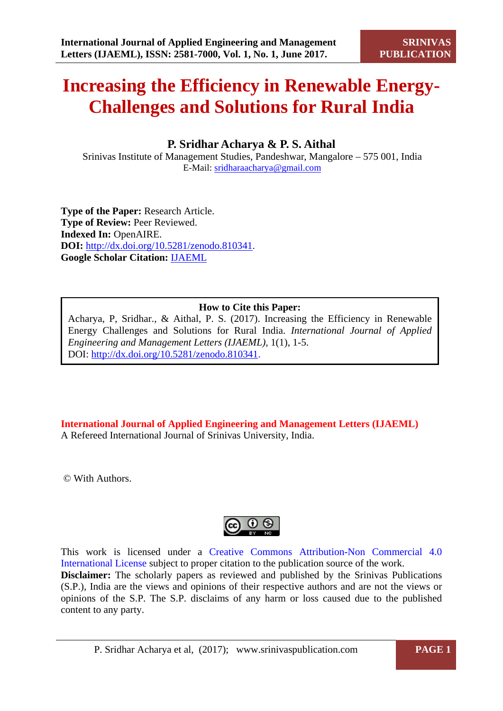# **Increasing the Efficiency in Renewable Energy-Challenges and Solutions for Rural India**

# **P. Sridhar Acharya & P. S. Aithal**

Srinivas Institute of Management Studies, Pandeshwar, Mangalore – 575 001, India E-Mail: [sridharaacharya@gmail.com](mailto:sridharaacharya@gmail.com)

**Type of the Paper:** Research Article. **Type of Review: Peer Reviewed. Indexed In:** OpenAIRE. **DOI:** [http://dx.doi.org/10.5281/zenodo.810341.](http://dx.doi.org/10.5281/zenodo.810341) **Google Scholar Citation:** [IJAEML](https://scholar.google.com/citations?user=Wb7oZPYAAAAJ&hl=en)

# **How to Cite this Paper:**

Acharya, P, Sridhar., & Aithal, P. S. (2017). Increasing the Efficiency in Renewable Energy Challenges and Solutions for Rural India. *International Journal of Applied Engineering and Management Letters (IJAEML),* 1(1), 1-5. DOI: [http://dx.doi.org/10.5281/zenodo.810341.](http://dx.doi.org/10.5281/zenodo.810341)

**International Journal of Applied Engineering and Management Letters (IJAEML)** A Refereed International Journal of Srinivas University, India.

© With Authors.



This work is licensed under a Creative Commons Attribution-Non Commercial 4.0 International License subject to proper citation to the publication source of the work. **Disclaimer:** The scholarly papers as reviewed and published by the Srinivas Publications (S.P.), India are the views and opinions of their respective authors and are not the views or opinions of the S.P. The S.P. disclaims of any harm or loss caused due to the published content to any party.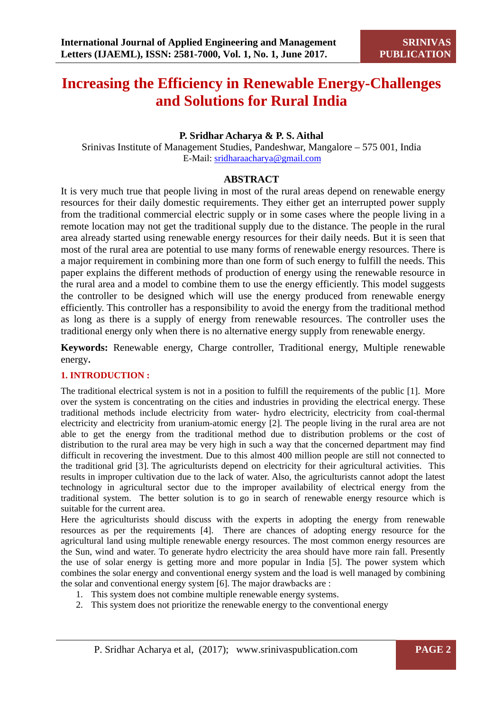# **Increasing the Efficiency in Renewable Energy-Challenges and Solutions for Rural India**

# **P. Sridhar Acharya & P. S. Aithal**

Srinivas Institute of Management Studies, Pandeshwar, Mangalore – 575 001, India E-Mail: [sridharaacharya@gmail.com](mailto:sridharaacharya@gmail.com)

### **ABSTRACT**

It is very much true that people living in most of the rural areas depend on renewable energy resources for their daily domestic requirements. They either get an interrupted power supply from the traditional commercial electric supply or in some cases where the people living in a remote location may not get the traditional supply due to the distance. The people in the rural area already started using renewable energy resources for their daily needs. But it is seen that most of the rural area are potential to use many forms of renewable energy resources. There is a major requirement in combining more than one form of such energy to fulfill the needs. This paper explains the different methods of production of energy using the renewable resource in the rural area and a model to combine them to use the energy efficiently. This model suggests the controller to be designed which will use the energy produced from renewable energy efficiently. This controller has a responsibility to avoid the energy from the traditional method as long as there is a supply of energy from renewable resources. The controller uses the traditional energy only when there is no alternative energy supply from renewable energy.

**Keywords:** Renewable energy, Charge controller, Traditional energy, Multiple renewable energy**.** 

# **1. INTRODUCTION :**

The traditional electrical system is not in a position to fulfill the requirements of the public [1]. More over the system is concentrating on the cities and industries in providing the electrical energy. These traditional methods include electricity from water- hydro electricity, electricity from coal-thermal electricity and electricity from uranium-atomic energy [2]. The people living in the rural area are not able to get the energy from the traditional method due to distribution problems or the cost of distribution to the rural area may be very high in such a way that the concerned department may find difficult in recovering the investment. Due to this almost 400 million people are still not connected to the traditional grid [3]. The agriculturists depend on electricity for their agricultural activities. This results in improper cultivation due to the lack of water. Also, the agriculturists cannot adopt the latest technology in agricultural sector due to the improper availability of electrical energy from the traditional system. The better solution is to go in search of renewable energy resource which is suitable for the current area.

Here the agriculturists should discuss with the experts in adopting the energy from renewable resources as per the requirements [4]. There are chances of adopting energy resource for the agricultural land using multiple renewable energy resources. The most common energy resources are the Sun, wind and water. To generate hydro electricity the area should have more rain fall. Presently the use of solar energy is getting more and more popular in India [5]. The power system which combines the solar energy and conventional energy system and the load is well managed by combining the solar and conventional energy system [6]. The major drawbacks are :

- 1. This system does not combine multiple renewable energy systems.
- 2. This system does not prioritize the renewable energy to the conventional energy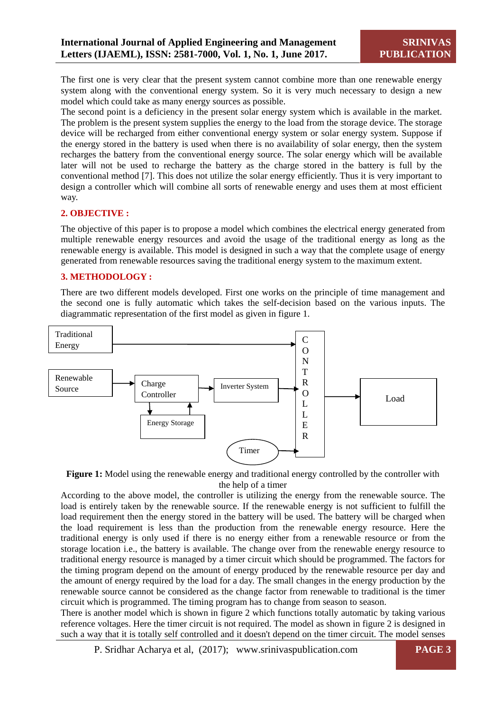The first one is very clear that the present system cannot combine more than one renewable energy system along with the conventional energy system. So it is very much necessary to design a new model which could take as many energy sources as possible.

The second point is a deficiency in the present solar energy system which is available in the market. The problem is the present system supplies the energy to the load from the storage device. The storage device will be recharged from either conventional energy system or solar energy system. Suppose if the energy stored in the battery is used when there is no availability of solar energy, then the system recharges the battery from the conventional energy source. The solar energy which will be available later will not be used to recharge the battery as the charge stored in the battery is full by the conventional method [7]. This does not utilize the solar energy efficiently. Thus it is very important to design a controller which will combine all sorts of renewable energy and uses them at most efficient way.

#### **2. OBJECTIVE :**

The objective of this paper is to propose a model which combines the electrical energy generated from multiple renewable energy resources and avoid the usage of the traditional energy as long as the renewable energy is available. This model is designed in such a way that the complete usage of energy generated from renewable resources saving the traditional energy system to the maximum extent.

#### **3. METHODOLOGY :**

There are two different models developed. First one works on the principle of time management and the second one is fully automatic which takes the self-decision based on the various inputs. The diagrammatic representation of the first model as given in figure 1.



**Figure 1:** Model using the renewable energy and traditional energy controlled by the controller with the help of a timer

According to the above model, the controller is utilizing the energy from the renewable source. The load is entirely taken by the renewable source. If the renewable energy is not sufficient to fulfill the load requirement then the energy stored in the battery will be used. The battery will be charged when the load requirement is less than the production from the renewable energy resource. Here the traditional energy is only used if there is no energy either from a renewable resource or from the storage location i.e., the battery is available. The change over from the renewable energy resource to traditional energy resource is managed by a timer circuit which should be programmed. The factors for the timing program depend on the amount of energy produced by the renewable resource per day and the amount of energy required by the load for a day. The small changes in the energy production by the renewable source cannot be considered as the change factor from renewable to traditional is the timer circuit which is programmed. The timing program has to change from season to season.

There is another model which is shown in figure 2 which functions totally automatic by taking various reference voltages. Here the timer circuit is not required. The model as shown in figure 2 is designed in such a way that it is totally self controlled and it doesn't depend on the timer circuit. The model senses

P. Sridhar Acharya et al, (2017); www.srinivaspublication.com **PAGE 3**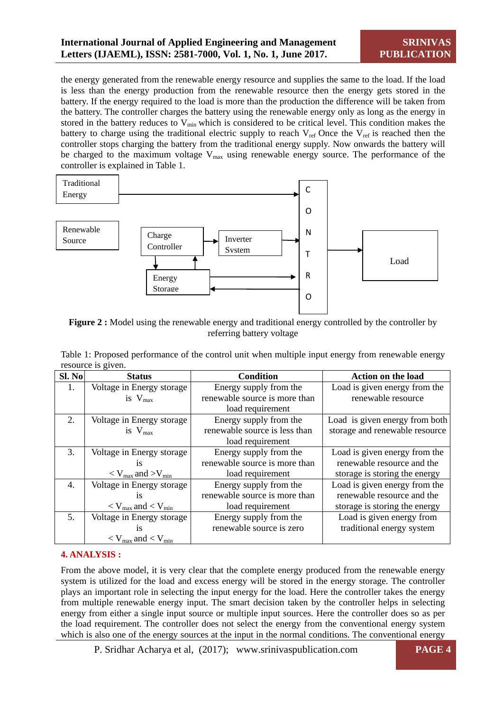the energy generated from the renewable energy resource and supplies the same to the load. If the load is less than the energy production from the renewable resource then the energy gets stored in the battery. If the energy required to the load is more than the production the difference will be taken from the battery. The controller charges the battery using the renewable energy only as long as the energy in stored in the battery reduces to  $V_{min}$  which is considered to be critical level. This condition makes the battery to charge using the traditional electric supply to reach  $V_{ref}$  Once the  $V_{ref}$  is reached then the controller stops charging the battery from the traditional energy supply. Now onwards the battery will be charged to the maximum voltage  $V_{\text{max}}$  using renewable energy source. The performance of the controller is explained in Table 1.



**Figure 2 :** Model using the renewable energy and traditional energy controlled by the controller by referring battery voltage

| Sl. No         | <b>Status</b>                       | <b>Condition</b>              | <b>Action on the load</b>      |
|----------------|-------------------------------------|-------------------------------|--------------------------------|
| 1.             | Voltage in Energy storage           | Energy supply from the        | Load is given energy from the  |
|                | is $V_{\text{max}}$                 | renewable source is more than | renewable resource             |
|                |                                     | load requirement              |                                |
| 2.             | Voltage in Energy storage           | Energy supply from the        | Load is given energy from both |
|                | is $V_{\text{max}}$                 | renewable source is less than | storage and renewable resource |
|                |                                     | load requirement              |                                |
| 3.             | Voltage in Energy storage           | Energy supply from the        | Load is given energy from the  |
|                | <i>is</i>                           | renewable source is more than | renewable resource and the     |
|                | $\rm < V_{max}$ and $\rm > V_{min}$ | load requirement              | storage is storing the energy  |
| 4.             | Voltage in Energy storage           | Energy supply from the        | Load is given energy from the  |
|                | <i>is</i>                           | renewable source is more than | renewable resource and the     |
|                | $\rm < V_{max}$ and $\rm < V_{min}$ | load requirement              | storage is storing the energy  |
| 5 <sub>1</sub> | Voltage in Energy storage           | Energy supply from the        | Load is given energy from      |
|                | <b>1S</b>                           | renewable source is zero      | traditional energy system      |
|                | $\rm < V_{max}$ and $\rm < V_{min}$ |                               |                                |

Table 1: Proposed performance of the control unit when multiple input energy from renewable energy resource is given.

# **4. ANALYSIS :**

From the above model, it is very clear that the complete energy produced from the renewable energy system is utilized for the load and excess energy will be stored in the energy storage. The controller plays an important role in selecting the input energy for the load. Here the controller takes the energy from multiple renewable energy input. The smart decision taken by the controller helps in selecting energy from either a single input source or multiple input sources. Here the controller does so as per the load requirement. The controller does not select the energy from the conventional energy system which is also one of the energy sources at the input in the normal conditions. The conventional energy

P. Sridhar Acharya et al, (2017); www.srinivaspublication.com **PAGE 4**